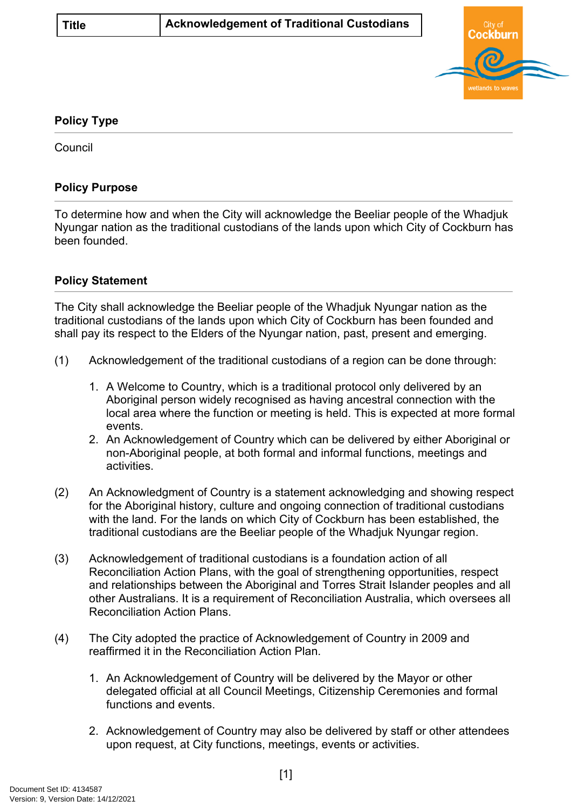

## **Policy Type**

**Council** 

## **Policy Purpose**

To determine how and when the City will acknowledge the Beeliar people of the Whadjuk Nyungar nation as the traditional custodians of the lands upon which City of Cockburn has been founded.

## **[Policy Statement](#page-0-0)**

<span id="page-0-0"></span>The City shall acknowledge the Beeliar people of the Whadjuk Nyungar nation as the traditional custodians of the lands upon which City of Cockburn has been founded and shall pay its respect to the Elders of the Nyungar nation, past, present and emerging.

- (1) Acknowledgement of the traditional custodians of a region can be done through:
	- 1. A Welcome to Country, which is a traditional protocol only delivered by an Aboriginal person widely recognised as having ancestral connection with the local area where the function or meeting is held. This is expected at more formal events.
	- 2. An Acknowledgement of Country which can be delivered by either Aboriginal or non-Aboriginal people, at both formal and informal functions, meetings and activities.
- (2) An Acknowledgment of Country is a statement acknowledging and showing respect for the Aboriginal history, culture and ongoing connection of traditional custodians with the land. For the lands on which City of Cockburn has been established, the traditional custodians are the Beeliar people of the Whadjuk Nyungar region.
- (3) Acknowledgement of traditional custodians is a foundation action of all Reconciliation Action Plans, with the goal of strengthening opportunities, respect and relationships between the Aboriginal and Torres Strait Islander peoples and all other Australians. It is a requirement of Reconciliation Australia, which oversees all Reconciliation Action Plans.
- (4) The City adopted the practice of Acknowledgement of Country in 2009 and reaffirmed it in the [Reconciliation Action Plan.](https://bit.ly/3EUevha)
	- 1. An Acknowledgement of Country will be delivered by the Mayor or other delegated official at all Council Meetings, Citizenship Ceremonies and formal functions and events.
	- 2. Acknowledgement of Country may also be delivered by staff or other attendees upon request, at City functions, meetings, events or activities.